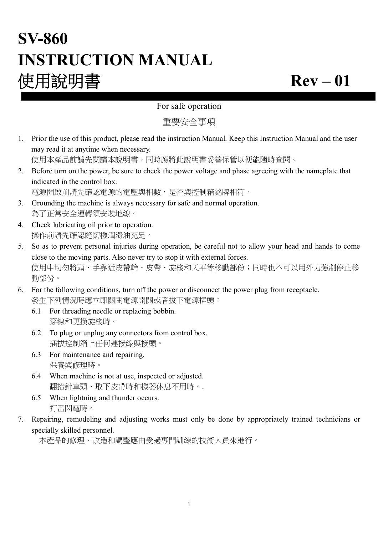# **SV-860 INSTRUCTION MANUAL 使用說明書 Rev – 01**

### For safe operation

重要安全事項

1. Prior the use of this product, please read the instruction Manual. Keep this Instruction Manual and the user may read it at anytime when necessary. 使用本產品前請先閱讀本說明書,同時應將此說明書妥善保管以便能隨時查閱。

2. Before turn on the power, be sure to check the power voltage and phase agreeing with the nameplate that indicated in the control box.

電源開啟前請先確認電源的電壓與相數,是否與控制箱銘牌相符。

- 3. Grounding the machine is always necessary for safe and normal operation. 為了正常安全運轉須安裝地線。
- 4. Check lubricating oil prior to operation. 操作前請先確認縫紉機潤滑油充足。
- 5. So as to prevent personal injuries during operation, be careful not to allow your head and hands to come close to the moving parts. Also never try to stop it with external forces. 使用中切勿將頭、手靠近皮帶輪、皮帶、旋梭和天平等移動部份;同時也不可以用外力強制停止移 動部份。
- 6. For the following conditions, turn off the power or disconnect the power plug from receptacle. 發生下列情況時應立即關閉電源開關或者拔下電源插頭:
	- 6.1 For threading needle or replacing bobbin. 穿線和更換旋梭時。
	- 6.2 To plug or unplug any connectors from control box. 插拔控制箱上任何連接線與接頭。
	- 6.3 For maintenance and repairing. 保養與修理時。
	- 6.4 When machine is not at use, inspected or adjusted. 翻抬針車頭、取下皮帶時和機器休息不用時。.
	- 6.5 When lightning and thunder occurs. 打雷閃電時。
- 7. Repairing, remodeling and adjusting works must only be done by appropriately trained technicians or specially skilled personnel.

本產品的修理、改造和調整應由受過專門訓練的技術人員來進行。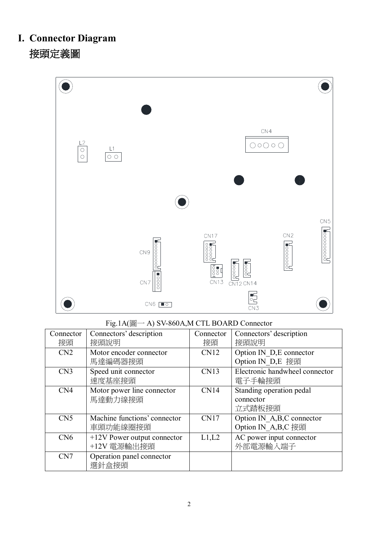# **I. Connector Diagram 接頭定義圖**

| $\frac{L2}{\circ}$<br>$\circ$ | $\mathsf{L}1$<br>$\overline{\circ}$ |                                            |                                                                                                                                                                                                                                                                                                                                                                                                                                                                                                                              | CN4<br>$\bigcirc \circ \bigcirc \circ \bigcirc$ |                    |
|-------------------------------|-------------------------------------|--------------------------------------------|------------------------------------------------------------------------------------------------------------------------------------------------------------------------------------------------------------------------------------------------------------------------------------------------------------------------------------------------------------------------------------------------------------------------------------------------------------------------------------------------------------------------------|-------------------------------------------------|--------------------|
|                               |                                     |                                            |                                                                                                                                                                                                                                                                                                                                                                                                                                                                                                                              |                                                 | CN <sub>5</sub>    |
|                               |                                     | $\frac{1}{2}$<br>CN9<br>0000<br>CN7        | CN17<br>$\begin{bmatrix} 0 & 0 & 0 & 0 & 0 \\ 0 & 0 & 0 & 0 & 0 \\ 0 & 0 & 0 & 0 & 0 \\ 0 & 0 & 0 & 0 & 0 \\ 0 & 0 & 0 & 0 & 0 \\ 0 & 0 & 0 & 0 & 0 \\ 0 & 0 & 0 & 0 & 0 \\ 0 & 0 & 0 & 0 & 0 \\ 0 & 0 & 0 & 0 & 0 \\ 0 & 0 & 0 & 0 & 0 \\ 0 & 0 & 0 & 0 & 0 \\ 0 & 0 & 0 & 0 & 0 & 0 \\ 0 & 0 & 0 & 0 & 0 & 0 \\ 0 & 0 & 0 & 0 & $<br>CN12 CN14<br>$\begin{array}{c}\n\hline\n\hline\n\text{1} & \text{1} \\ \hline\n\text{2} & \text{2} \\ \text{1} & \text{2} \\ \text{2} & \text{3} \\ \text{3} & \text{4}\n\end{array}$ | CN2                                             | $\sqrt{100000000}$ |
|                               |                                     | $\mathsf{CN}6$<br>$\overline{\phantom{a}}$ | $\begin{array}{c} \n\overline{0} \\ \overline{0} \\ \overline{0}\n\end{array}$                                                                                                                                                                                                                                                                                                                                                                                                                                               |                                                 |                    |

## Fig.1A(圖一 A) SV-860A,M CTL BOARD Connector

| Connector       | Connectors' description       | Connector   | Connectors' description             |
|-----------------|-------------------------------|-------------|-------------------------------------|
| 接頭              | 接頭說明                          | 接頭          | 接頭說明                                |
| CN2             | Motor encoder connector       | <b>CN12</b> | Option IN D <sub>,E</sub> connector |
|                 | 馬達編碼器接頭                       |             | Option IN_D,E 接頭                    |
| CN3             | Speed unit connector          | CN13        | Electronic handwheel connector      |
|                 | 速度基座接頭                        |             | 電子手輪接頭                              |
| CN <sub>4</sub> | Motor power line connector    | CN14        | Standing operation pedal            |
|                 | 馬達動力線接頭                       |             | connector                           |
|                 |                               |             | 立式踏板接頭                              |
| CN <sub>5</sub> | Machine functions' connector  | CN17        | Option IN_A,B,C connector           |
|                 | 車頭功能線圈接頭                      |             | Option IN A,B,C 接頭                  |
| CN6             | $+12V$ Power output connector | L1,L2       | AC power input connector            |
|                 | +12V 電源輸出接頭                   |             | 外部電源輸入端子                            |
| CN7             | Operation panel connector     |             |                                     |
|                 | 選針盒接頭                         |             |                                     |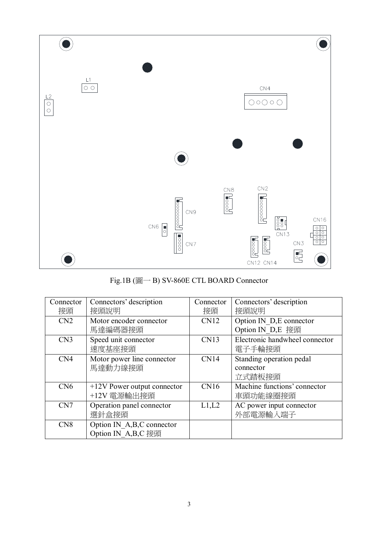

Fig.1B (圖一 B) SV-860E CTL BOARD Connector

| Connector       | Connectors' description                           | Connector | Connectors' description                         |
|-----------------|---------------------------------------------------|-----------|-------------------------------------------------|
| 接頭              | 接頭說明                                              | 接頭        | 接頭說明                                            |
| CN2             | Motor encoder connector<br>馬達編碼器接頭                | CN12      | Option IN D,E connector<br>Option IN D,E 接頭     |
| CN3             | Speed unit connector<br>速度基座接頭                    | CN13      | Electronic handwheel connector<br>電子手輪接頭        |
| CN <sub>4</sub> | Motor power line connector<br>馬達動力線接頭             | CN14      | Standing operation pedal<br>connector<br>立式踏板接頭 |
| CN6             | $+12V$ Power output connector<br>+12V 電源輸出接頭      | CN16      | Machine functions' connector<br>車頭功能線圈接頭        |
| CN7             | Operation panel connector<br>選針盒接頭                | L1,L2     | AC power input connector<br>外部電源輸入端子            |
| CN <sub>8</sub> | Option IN A, B, C connector<br>Option IN A,B,C 接頭 |           |                                                 |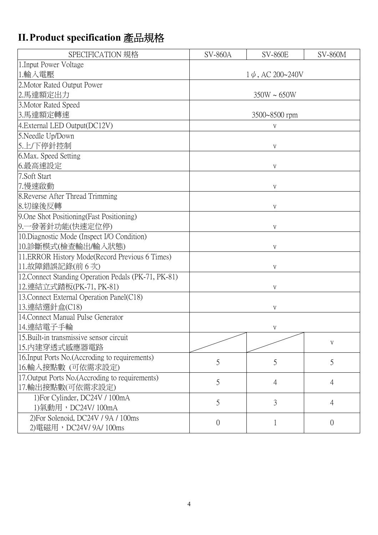# **II.Product specification 產品規格**

| SPECIFICATION 規格                                     | <b>SV-860A</b><br><b>SV-860E</b><br><b>SV-860M</b> |                  |   |  |  |
|------------------------------------------------------|----------------------------------------------------|------------------|---|--|--|
| 1. Input Power Voltage                               |                                                    |                  |   |  |  |
| 1.輸入電壓                                               | $1\phi$ , AC 200~240V                              |                  |   |  |  |
| 2. Motor Rated Output Power                          |                                                    |                  |   |  |  |
| 2.馬達額定出力                                             |                                                    | $350W \sim 650W$ |   |  |  |
| 3. Motor Rated Speed                                 |                                                    |                  |   |  |  |
| 3.馬達額定轉速                                             |                                                    | 3500~8500 rpm    |   |  |  |
| 4. External LED Output(DC12V)                        |                                                    | V                |   |  |  |
| 5. Needle Up/Down                                    |                                                    |                  |   |  |  |
| 5.上/下停針控制                                            |                                                    | V                |   |  |  |
| 6. Max. Speed Setting                                |                                                    |                  |   |  |  |
| 6.最高速設定                                              |                                                    | $\mathbf V$      |   |  |  |
| 7.Soft Start                                         |                                                    |                  |   |  |  |
| 7.慢速啟動                                               |                                                    | V                |   |  |  |
| 8. Reverse After Thread Trimming                     |                                                    |                  |   |  |  |
| 8.切線後反轉                                              |                                                    | V                |   |  |  |
| 9. One Shot Positioning (Fast Positioning)           |                                                    |                  |   |  |  |
| 9.一發著針功能(快速定位停)                                      |                                                    | $\mathbf V$      |   |  |  |
| 10. Diagnostic Mode (Inspect I/O Condition)          |                                                    |                  |   |  |  |
| 10.診斷模式(檢查輸出/輸入狀態)                                   |                                                    | V                |   |  |  |
| 11. ERROR History Mode(Record Previous 6 Times)      |                                                    |                  |   |  |  |
| 11.故障錯誤記錄(前6次)                                       |                                                    | V                |   |  |  |
| 12. Connect Standing Operation Pedals (PK-71, PK-81) |                                                    |                  |   |  |  |
| 12.連結立式踏板(PK-71, PK-81)                              |                                                    | $\mathbf V$      |   |  |  |
| 13. Connect External Operation Panel(C18)            |                                                    |                  |   |  |  |
| 13.連結選針盒(C18)                                        |                                                    | V                |   |  |  |
| 14. Connect Manual Pulse Generator                   |                                                    |                  |   |  |  |
| 14.連結電子手輪                                            |                                                    | V                |   |  |  |
| 15. Built-in transmissive sensor circuit             |                                                    |                  | V |  |  |
| 15.内建穿透式感應器電路                                        |                                                    |                  |   |  |  |
| 16. Input Ports No. (Accroding to requirements)      | 5                                                  | 5                | 5 |  |  |
| 16.輸入接點數 (可依需求設定)                                    |                                                    |                  |   |  |  |
| 17. Output Ports No. (Accroding to requirements)     |                                                    |                  |   |  |  |
| 17.輸出接點數(可依需求設定)                                     | 5<br>$\overline{4}$<br>$\overline{4}$              |                  |   |  |  |
| 1) For Cylinder, DC24V / 100mA                       |                                                    |                  |   |  |  |
| 1)氣動用,DC24V/ 100mA                                   | 3<br>5<br>$\overline{4}$                           |                  |   |  |  |
| 2) For Solenoid, DC24V / 9A / 100ms                  |                                                    |                  |   |  |  |
| 2) 電磁用, DC24V/9A/100ms                               | $\overline{0}$<br>$\overline{0}$<br>1              |                  |   |  |  |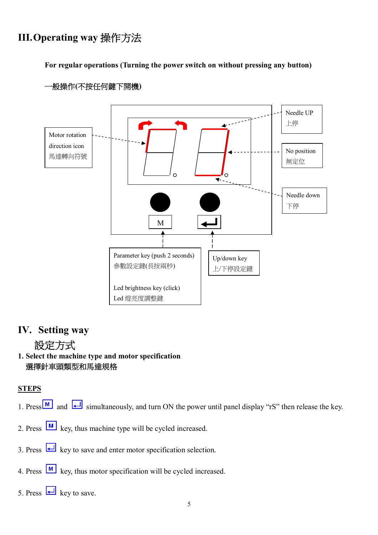# **III.Operating way 操作方法**

**For regular operations (Turning the power switch on without pressing any button)**



#### **一般操作(不按任何鍵下開機)**

### **IV. Setting way**

## **設定方式**

**1. Select the machine type and motor specification 選擇針車頭類型和馬達規格**

#### **STEPS**

- 1. Press  $\boxed{M}$  and  $\boxed{\leftarrow}$  simultaneously, and turn ON the power until panel display "rS" then release the key.
- 2. Press  $\boxed{\text{M}}$  key, thus machine type will be cycled increased.
- 3. Press  $\leftarrow$  key to save and enter motor specification selection.
- 4. Press  $\boxed{\text{M}}$  key, thus motor specification will be cycled increased.
- 5. Press  $\Box$  key to save.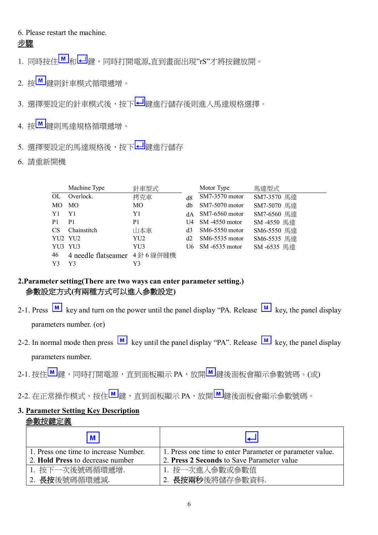#### 6. Please restart the machine.

#### **步驟**

- 1. 同時按住 和 → <sub>相</sub> → 同時打開電源,直到書面出現"rS"才將按鍵放開。
- 2. 按B 鍵則針車模式循環遞增。
- 3. 選擇要設定的針車模式後,按下 2 鍵進行儲存後則進入馬達規格選擇。
- 4. 按■ 鍵則馬達規格循環遞增。
- 5. 選擇要設定的馬達規格後,按下<mark>41</mark>鍵進行儲存
- 6. 請重新開機

|                | Machine Type                | 針車型式           |     | Motor Type       | 馬達型式        |
|----------------|-----------------------------|----------------|-----|------------------|-------------|
| OL             | Overlock.                   | 拷克車            | d8  | SM7-3570 motor   | SM7-3570 馬達 |
| MO             | MO                          | МO             | db  | $SM7-5070$ motor | SM7-5070 馬達 |
| Y1             | Y1                          | Y1             | dА  | $SM7-6560$ motor | SM7-6560 馬達 |
| P <sub>1</sub> | P <sub>1</sub>              | P <sub>1</sub> | U4  | SM -4550 motor   | SM-4550 馬達  |
| <b>CS</b>      | Chainstitch                 | 山本車            | d3  | $SM6-5550$ motor | SM6-5550 馬達 |
|                | YU2 YU2                     | YU2            | d2  | $SM6-5535$ motor | SM6-5535 馬達 |
| YU3            | YU3                         | YU3            | U6. | SM -6535 motor   | SM-6535 馬達  |
| 46             | 4 needle flatseamer 4針6線併縫機 |                |     |                  |             |
| Y3             | Y3                          | Y3             |     |                  |             |

#### **2.Parameter setting(There are two ways can enter parameter setting.) 參數設定方式(有兩種方式可以進入參數設定)**

- 2-1. Press  $\boxed{\text{M}}$  key and turn on the power until the panel display "PA. Release  $\boxed{\text{M}}$  key, the panel display parameters number. (or)
- 2-2. In normal mode then press  $\boxed{M}$  key until the panel display "PA". Release  $\boxed{M}$  key, the panel display parameters number.
- 2-1. 按住<u>M </mark>鍵,同時打開電源,直到面板顯示 PA,放開 M 鍵後面板會顯示參數號碼。(或)</u>
- 2-2. 在正常操作模式,按住M 鍵,直到面板顯示 PA,放開 M 鍵後面板會顯示參數號碼。

#### **3. Parameter Setting Key Description 參數按鍵定義**

| M                                     |                                                          |
|---------------------------------------|----------------------------------------------------------|
| 1. Press one time to increase Number. | 1. Press one time to enter Parameter or parameter value. |
| 2. Hold Press to decrease number      | 2. Press 2 Seconds to Save Parameter value               |
| 1. 按下一次後號碼循環遞增.                       | 1. 按一次進入參數或參數值                                           |
| 2. 長按後號碼循環遞減.                         | 2. 長按兩秒後將儲存參數資料.                                         |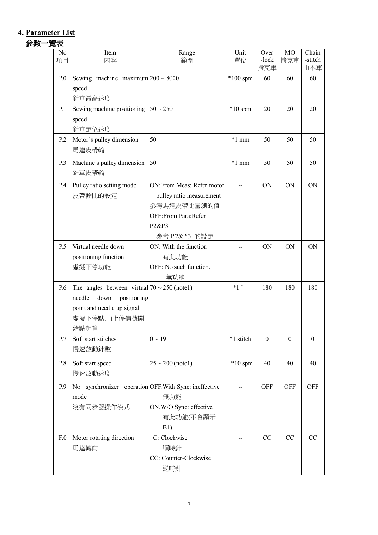## 4**. Parameter List**

# **參數一覽表**

| No           | Item<br>内容                                            | Range                        | Unit<br>單位        | Over<br>-lock    | MO<br>拷克車        | Chain<br>-stitch |
|--------------|-------------------------------------------------------|------------------------------|-------------------|------------------|------------------|------------------|
| 項目           |                                                       | 範圍                           |                   | 拷克車              |                  | 山本車              |
| $P_{0}$      | Sewing machine maximum $200 \sim 8000$                |                              | $*100$ spm        | 60               | 60               | 60               |
|              | speed                                                 |                              |                   |                  |                  |                  |
|              | 針車最高速度                                                |                              |                   |                  |                  |                  |
| <b>P.1</b>   | Sewing machine positioning<br>speed                   | $50 \sim 250$                | $*10$ spm         | 20               | 20               | 20               |
|              | 針車定位速度                                                |                              |                   |                  |                  |                  |
| P.2          | Motor's pulley dimension                              | 50                           | $*1$ mm           | 50               | 50               | 50               |
|              | 馬達皮帶輪                                                 |                              |                   |                  |                  |                  |
| P.3          | Machine's pulley dimension                            | 50                           | $*1$ mm           | 50               | 50               | 50               |
|              | 針車皮帶輪                                                 |                              |                   |                  |                  |                  |
| P.4          | Pulley ratio setting mode                             | ON:From Meas: Refer motor    |                   | <b>ON</b>        | <b>ON</b>        | ON               |
|              | 皮帶輪比的設定                                               | pulley ratio measurement     |                   |                  |                  |                  |
|              |                                                       | 參考馬達皮帶比量測的值                  |                   |                  |                  |                  |
|              |                                                       | OFF:From Para:Refer          |                   |                  |                  |                  |
|              |                                                       | P2&P3<br>參考 P.2&P 3 的設定      |                   |                  |                  |                  |
| P.5          | Virtual needle down                                   | ON: With the function        |                   | <b>ON</b>        | ON               | <b>ON</b>        |
|              | positioning function                                  | 有此功能                         |                   |                  |                  |                  |
|              | 虛擬下停功能                                                | OFF: No such function.       |                   |                  |                  |                  |
|              |                                                       | 無功能                          |                   |                  |                  |                  |
| P.6          | The angles between virtual $70 \sim 250$ (notel)      |                              | $*1$ <sup>o</sup> | 180              | 180              | 180              |
|              | down<br>positioning<br>needle                         |                              |                   |                  |                  |                  |
|              | point and needle up signal                            |                              |                   |                  |                  |                  |
|              | 虛擬下停點,由上停信號開<br>始點起算                                  |                              |                   |                  |                  |                  |
| P.7          | Soft start stitches                                   | $0 \sim 19$                  | *1 stitch         | $\boldsymbol{0}$ | $\boldsymbol{0}$ | $\boldsymbol{0}$ |
|              | 慢速啟動針數                                                |                              |                   |                  |                  |                  |
| P.8          | Soft start speed                                      | $25 \sim 200$ (notel)        | $*10$ spm         | 40               | 40               | 40               |
|              | 慢速啟動速度                                                |                              |                   |                  |                  |                  |
| P.9          | No synchronizer operation OFF. With Sync: ineffective |                              | --                | <b>OFF</b>       | <b>OFF</b>       | <b>OFF</b>       |
|              | mode                                                  | 無功能                          |                   |                  |                  |                  |
|              | 沒有同步器操作模式                                             | ON.W/O Sync: effective       |                   |                  |                  |                  |
|              |                                                       | 有此功能(不會顯示                    |                   |                  |                  |                  |
|              |                                                       | E1)                          |                   |                  |                  |                  |
| $F_{\cdot}0$ | Motor rotating direction                              | C: Clockwise                 |                   | CC               | CC               | CC               |
|              | 馬達轉向                                                  | 順時針<br>CC: Counter-Clockwise |                   |                  |                  |                  |
|              |                                                       | 逆時針                          |                   |                  |                  |                  |
|              |                                                       |                              |                   |                  |                  |                  |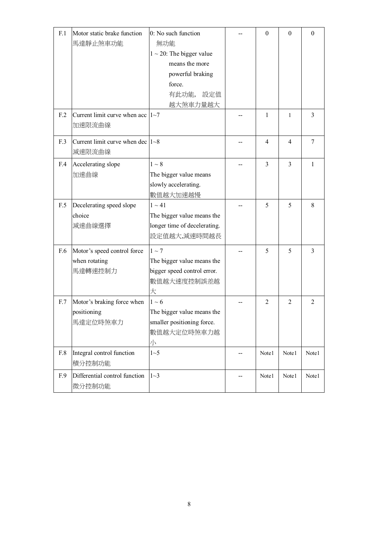| F.1 | Motor static brake function<br>馬達靜止煞車功能                 | 0: No such function<br>無功能<br>$1 \sim 20$ : The bigger value<br>means the more<br>powerful braking<br>force.<br>有此功能,<br>設定值<br>越大煞車力量越大 |     | $\boldsymbol{0}$ | $\overline{0}$ | $\mathbf{0}$   |
|-----|---------------------------------------------------------|------------------------------------------------------------------------------------------------------------------------------------------|-----|------------------|----------------|----------------|
| F.2 | Current limit curve when acc $ 1~-7$<br>加速限流曲線          |                                                                                                                                          |     | 1                | 1              | 3              |
| F.3 | Current limit curve when dec $ 1-8 $<br>減速限流曲線          |                                                                                                                                          |     | 4                | $\overline{4}$ | 7              |
| F.4 | Accelerating slope<br>加速曲線                              | $1\sim 8$<br>The bigger value means<br>slowly accelerating.<br>數值越大加速越慢                                                                  |     | $\overline{3}$   | $\overline{3}$ | 1              |
| F.5 | Decelerating speed slope<br>choice<br>減速曲線選擇            | $1 \sim 41$<br>The bigger value means the<br>longer time of decelerating.<br>設定值越大,減速時間越長                                                |     | 5                | 5              | 8              |
| F.6 | Motor's speed control force<br>when rotating<br>馬達轉速控制力 | $1\sim$ 7<br>The bigger value means the<br>bigger speed control error.<br>數值越大速度控制誤差越<br>大                                               |     | 5                | 5              | 3              |
| F.7 | Motor's braking force when<br>positioning<br>馬達定位時煞車力   | $1\sim6$<br>The bigger value means the<br>smaller positioning force.<br>數值越大定位時煞車力越<br>小                                                 |     | 2                | $\overline{2}$ | $\overline{2}$ |
| F.8 | Integral control function<br>積分控制功能                     | 1~5                                                                                                                                      | $-$ | Note1            | Note1          | Note1          |
| F.9 | Differential control function<br>微分控制功能                 | $1~-3$                                                                                                                                   | --  | Note1            | Note1          | Note1          |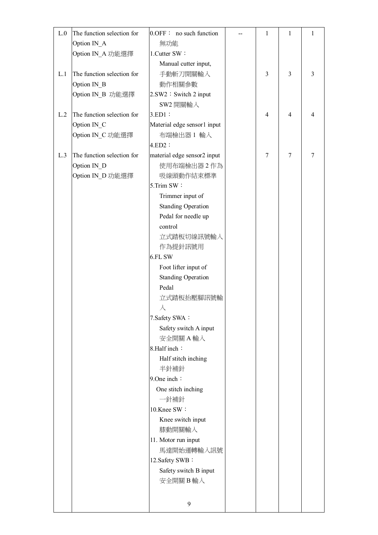| L.0 | The function selection for | $0.$ OFF : no such function | 1              | 1              | 1      |
|-----|----------------------------|-----------------------------|----------------|----------------|--------|
|     | Option IN_A                | 無功能                         |                |                |        |
|     | Option IN_A 功能選擇           | 1. Cutter SW:               |                |                |        |
|     |                            | Manual cutter input,        |                |                |        |
| L.1 | The function selection for | 手動斬刀開關輸入                    | $\overline{3}$ | 3              | 3      |
|     | Option IN_B                | 動作相關參數                      |                |                |        |
|     | Option IN B 功能選擇           | 2.SW2: Switch 2 input       |                |                |        |
|     |                            | SW2 開關輸入                    |                |                |        |
| L.2 | The function selection for | $3.ED1$ :                   | $\overline{4}$ | $\overline{4}$ | 4      |
|     | Option IN_C                | Material edge sensor1 input |                |                |        |
|     | Option IN_C 功能選擇           | 布端檢出器 1 輸入                  |                |                |        |
|     |                            | $4.ED2$ :                   |                |                |        |
| L.3 | The function selection for | material edge sensor2 input | $\tau$         | $\overline{7}$ | $\tau$ |
|     | Option IN_D                | 使用布端檢出器2作為                  |                |                |        |
|     | Option IN_D 功能選擇           | 吸線頭動作結束標準                   |                |                |        |
|     |                            | 5.Trim SW:                  |                |                |        |
|     |                            | Trimmer input of            |                |                |        |
|     |                            | <b>Standing Operation</b>   |                |                |        |
|     |                            | Pedal for needle up         |                |                |        |
|     |                            | control                     |                |                |        |
|     |                            | 立式踏板切線訊號輸入                  |                |                |        |
|     |                            | 作為提針訊號用                     |                |                |        |
|     |                            | 6.FL SW                     |                |                |        |
|     |                            | Foot lifter input of        |                |                |        |
|     |                            | <b>Standing Operation</b>   |                |                |        |
|     |                            | Pedal                       |                |                |        |
|     |                            | 立式踏板抬壓腳訊號輸                  |                |                |        |
|     |                            | 入                           |                |                |        |
|     |                            | 7. Safety SWA:              |                |                |        |
|     |                            | Safety switch A input       |                |                |        |
|     |                            | 安全開關 A 輸入                   |                |                |        |
|     |                            | 8.Half inch:                |                |                |        |
|     |                            | Half stitch inching         |                |                |        |
|     |                            | 半針補針                        |                |                |        |
|     |                            | 9. One inch:                |                |                |        |
|     |                            | One stitch inching          |                |                |        |
|     |                            | 一針補針                        |                |                |        |
|     |                            | 10.Knee SW:                 |                |                |        |
|     |                            | Knee switch input           |                |                |        |
|     |                            | 膝動開關輸入                      |                |                |        |
|     |                            | 11. Motor run input         |                |                |        |
|     |                            | 馬達開始運轉輸入訊號                  |                |                |        |
|     |                            | 12. Safety SWB:             |                |                |        |
|     |                            | Safety switch B input       |                |                |        |
|     |                            | 安全開關B輸入                     |                |                |        |
|     |                            |                             |                |                |        |
|     |                            | 9                           |                |                |        |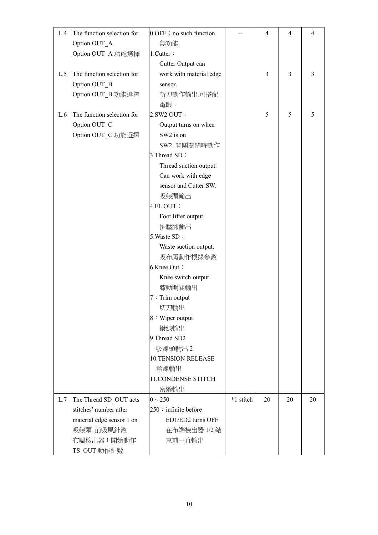| L.4 | The function selection for | $0.$ OFF : no such function |           | $\overline{4}$ | $\overline{4}$ | 4  |
|-----|----------------------------|-----------------------------|-----------|----------------|----------------|----|
|     | Option OUT_A               | 無功能                         |           |                |                |    |
|     | Option OUT_A 功能選擇          | 1.Cutter:                   |           |                |                |    |
|     |                            | Cutter Output can           |           |                |                |    |
| L.5 | The function selection for | work with material edge     |           | 3              | 3              | 3  |
|     | Option OUT B               | sensor.                     |           |                |                |    |
|     | Option OUT_B 功能選擇          | 斬刀動作輸出,可搭配                  |           |                |                |    |
|     |                            | 電眼。                         |           |                |                |    |
| L.6 | The function selection for | 2.SW2 OUT:                  |           | 5              | 5              | 5  |
|     | Option OUT_C               | Output turns on when        |           |                |                |    |
|     | Option OUT_C 功能選擇          | SW2 is on                   |           |                |                |    |
|     |                            | SW2 開關關閉時動作                 |           |                |                |    |
|     |                            | 3. Thread SD:               |           |                |                |    |
|     |                            | Thread suction output.      |           |                |                |    |
|     |                            | Can work with edge          |           |                |                |    |
|     |                            | sensor and Cutter SW.       |           |                |                |    |
|     |                            | 吸線頭輸出                       |           |                |                |    |
|     |                            | 4.FL OUT:                   |           |                |                |    |
|     |                            | Foot lifter output          |           |                |                |    |
|     |                            | 抬壓腳輸出                       |           |                |                |    |
|     |                            | 5. Waste SD:                |           |                |                |    |
|     |                            | Waste suction output.       |           |                |                |    |
|     |                            | 吸布屑動作根據參數                   |           |                |                |    |
|     |                            | 6.Knee Out:                 |           |                |                |    |
|     |                            | Knee switch output          |           |                |                |    |
|     |                            | 膝動開關輸出                      |           |                |                |    |
|     |                            | $7:$ Trim output            |           |                |                |    |
|     |                            | 切刀輸出                        |           |                |                |    |
|     |                            | 8: Wiper output             |           |                |                |    |
|     |                            | 撥線輸出                        |           |                |                |    |
|     |                            | 9. Thread SD2               |           |                |                |    |
|     |                            | 吸線頭輸出2                      |           |                |                |    |
|     |                            | <b>10.TENSION RELEASE</b>   |           |                |                |    |
|     |                            | 鬆線輸出                        |           |                |                |    |
|     |                            | <b>11. CONDENSE STITCH</b>  |           |                |                |    |
|     |                            | 密縫輸出                        |           |                |                |    |
| L.7 | The Thread SD_OUT acts     | $0 \sim 250$                | *1 stitch | 20             | 20             | 20 |
|     | stitches' number after     | 250 : infinite before       |           |                |                |    |
|     | material edge sensor 1 on  | ED1/ED2 turns OFF           |           |                |                |    |
|     | 吸線頭」前吸風針數                  | 在布端檢出器 1/2 結                |           |                |                |    |
|     | 布端檢出器 1 開始動作               | 束前一直輸出                      |           |                |                |    |
|     | TS_OUT 動作針數                |                             |           |                |                |    |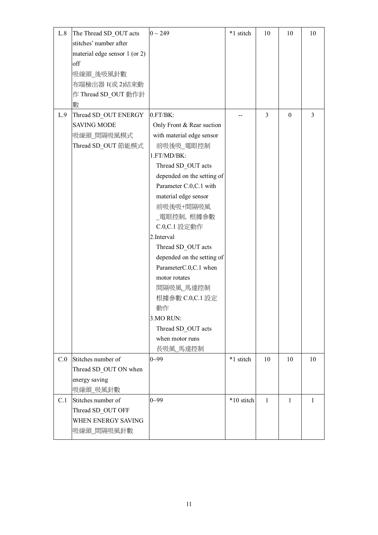| L.8 | The Thread SD_OUT acts<br>stitches' number after<br>material edge sensor 1 (or 2)<br>off<br>吸線頭_後吸風針數<br>布端檢出器 1(或2)結束動<br>作 Thread SD_OUT 動作針<br>數 | $0 \sim 249$                                                                                                                                                                                                                                                                                                                                                                                                                                                           | *1 stitch  | 10             | 10           | 10 |
|-----|-----------------------------------------------------------------------------------------------------------------------------------------------------|------------------------------------------------------------------------------------------------------------------------------------------------------------------------------------------------------------------------------------------------------------------------------------------------------------------------------------------------------------------------------------------------------------------------------------------------------------------------|------------|----------------|--------------|----|
| L.9 | Thread SD_OUT ENERGY<br><b>SAVING MODE</b><br>吸線頭」間隔吸風模式<br>Thread SD_OUT 節能模式                                                                      | 0.FT/BK:<br>Only Front & Rear suction<br>with material edge sensor<br>前吸後吸_電眼控制<br>1.FT/MD/BK:<br>Thread SD OUT acts<br>depended on the setting of<br>Parameter C.0, C.1 with<br>material edge sensor<br>前吸後吸+間隔吸風<br>_電眼控制,根據參數<br>C.0, C.1 設定動作<br>2. Interval<br>Thread SD_OUT acts<br>depended on the setting of<br>ParameterC.0,C.1 when<br>motor rotates<br>間隔吸風」馬達控制<br>根據參數 C.0,C.1 設定<br>動作<br>3.MO RUN:<br>Thread SD_OUT acts<br>when motor runs<br>長吸風」馬達控制 |            | $\overline{3}$ | $\mathbf{0}$ | 3  |
| C.0 | Stitches number of<br>Thread SD OUT ON when<br>energy saving<br>吸線頭」吸風針數                                                                            | $0 - 99$                                                                                                                                                                                                                                                                                                                                                                                                                                                               | *1 stitch  | 10             | 10           | 10 |
| C.1 | Stitches number of<br>Thread SD_OUT OFF<br>WHEN ENERGY SAVING<br>吸線頭_間隔吸風針數                                                                         | $0 - 99$                                                                                                                                                                                                                                                                                                                                                                                                                                                               | *10 stitch | $\mathbf{1}$   | 1            | 1  |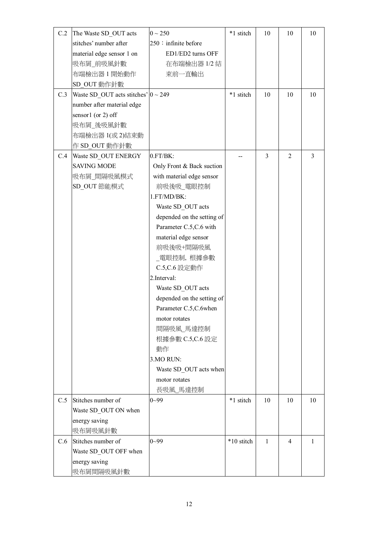| C.2 | The Waste SD_OUT acts                     | $0 \sim 250$               | *1 stitch  | 10             | 10             | 10             |
|-----|-------------------------------------------|----------------------------|------------|----------------|----------------|----------------|
|     | stitches' number after                    | $250$ : infinite before    |            |                |                |                |
|     | material edge sensor 1 on                 | ED1/ED2 turns OFF          |            |                |                |                |
|     | 吸布屑 前吸風針數                                 | 在布端檢出器 1/2 結               |            |                |                |                |
|     | 布端檢出器 1 開始動作                              | 束前一直輸出                     |            |                |                |                |
|     | SD_OUT 動作針數                               |                            |            |                |                |                |
| C.3 | Waste SD OUT acts stitches' $ 0 \sim 249$ |                            | *1 stitch  | 10             | 10             | 10             |
|     | number after material edge                |                            |            |                |                |                |
|     | sensor1 (or 2) off                        |                            |            |                |                |                |
|     | 吸布屑_後吸風針數                                 |                            |            |                |                |                |
|     | 布端檢出器 1(或 2)結束動                           |                            |            |                |                |                |
|     | 作 SD_OUT 動作針數                             |                            |            |                |                |                |
| C.4 | Waste SD_OUT ENERGY                       | 0.FT/BK:                   |            | 3              | $\overline{2}$ | $\overline{3}$ |
|     | <b>SAVING MODE</b>                        | Only Front & Back suction  |            |                |                |                |
|     | 吸布屑_間隔吸風模式                                | with material edge sensor  |            |                |                |                |
|     | SD_OUT 節能模式                               | 前吸後吸_電眼控制                  |            |                |                |                |
|     |                                           | 1.FT/MD/BK:                |            |                |                |                |
|     |                                           | Waste SD_OUT acts          |            |                |                |                |
|     |                                           | depended on the setting of |            |                |                |                |
|     |                                           | Parameter C.5, C.6 with    |            |                |                |                |
|     |                                           | material edge sensor       |            |                |                |                |
|     |                                           | 前吸後吸+間隔吸風                  |            |                |                |                |
|     |                                           | _電眼控制, 根據參數                |            |                |                |                |
|     |                                           | C.5, C.6 設定動作              |            |                |                |                |
|     |                                           | 2. Interval:               |            |                |                |                |
|     |                                           | Waste SD OUT acts          |            |                |                |                |
|     |                                           | depended on the setting of |            |                |                |                |
|     |                                           | Parameter C.5,C.6when      |            |                |                |                |
|     |                                           | motor rotates              |            |                |                |                |
|     |                                           | 間隔吸風」馬達控制                  |            |                |                |                |
|     |                                           | 根據參數 C.5,C.6 設定            |            |                |                |                |
|     |                                           | 動作                         |            |                |                |                |
|     |                                           | 3.MORUN:                   |            |                |                |                |
|     |                                           | Waste SD OUT acts when     |            |                |                |                |
|     |                                           | motor rotates              |            |                |                |                |
|     |                                           | 長吸風 馬達控制                   |            |                |                |                |
| C.5 | Stitches number of                        | $0 - 99$                   | *1 stitch  | 10             | 10             | 10             |
|     | Waste SD OUT ON when                      |                            |            |                |                |                |
|     | energy saving                             |                            |            |                |                |                |
|     | 吸布屑吸風針數                                   |                            |            |                |                |                |
| C.6 | Stitches number of                        | $0 - 99$                   | *10 stitch | $\overline{1}$ | 4              | 1              |
|     | Waste SD OUT OFF when                     |                            |            |                |                |                |
|     | energy saving                             |                            |            |                |                |                |
|     | 吸布屑間隔吸風針數                                 |                            |            |                |                |                |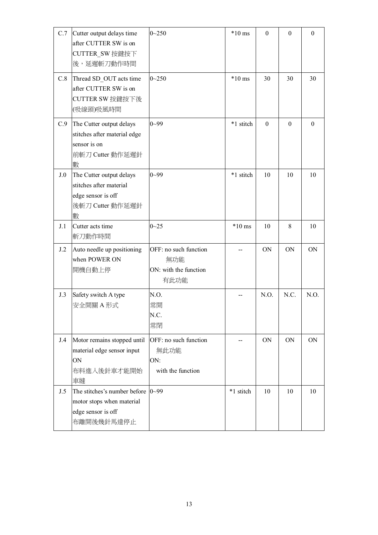| C.7 | Cutter output delays time<br>after CUTTER SW is on<br>CUTTER_SW 按鍵按下<br>後,延遲斬刀動作時間                         | $0 - 250$                                                     | $*10$ ms  | $\theta$     | $\mathbf{0}$   | $\mathbf{0}$ |
|-----|------------------------------------------------------------------------------------------------------------|---------------------------------------------------------------|-----------|--------------|----------------|--------------|
| C.8 | Thread SD_OUT acts time<br>after CUTTER SW is on<br>CUTTER SW 按鍵按下後<br>(吸線頭)吸風時間                           | $0 - 250$                                                     | $*10$ ms  | 30           | 30             | 30           |
| C.9 | The Cutter output delays<br>stitches after material edge<br>sensor is on<br>前斬刀 Cutter 動作延遲針<br>數          | $0 - 99$                                                      | *1 stitch | $\mathbf{0}$ | $\overline{0}$ | $\mathbf{0}$ |
| J.0 | The Cutter output delays<br>stitches after material<br>edge sensor is off<br>後斬刀 Cutter 動作延遲針<br>數         | $0 - 99$                                                      | *1 stitch | 10           | 10             | 10           |
| J.1 | Cutter acts time<br>斬刀動作時間                                                                                 | $0 - 25$                                                      | $*10$ ms  | 10           | 8              | 10           |
| J.2 | Auto needle up positioning<br>when POWER ON<br>開機自動上停                                                      | OFF: no such function<br>無功能<br>ON: with the function<br>有此功能 |           | <b>ON</b>    | <b>ON</b>      | <b>ON</b>    |
| J.3 | Safety switch A type<br>安全開關 A 形式                                                                          | N.O.<br>常開<br>N.C.<br>常閉                                      |           | N.O.         | N.C.           | N.O.         |
| J.4 | Motor remains stopped until<br>material edge sensor input<br>ON<br>布料進入後針車才能開始<br>車縫                       | OFF: no such function<br>無此功能<br>ON:<br>with the function     | $-$       | ON           | ON             | ON           |
| J.5 | The stitches's number before $ 0 \sim 99$<br>motor stops when material<br>edge sensor is off<br>布離開後幾針馬達停止 |                                                               | *1 stitch | 10           | 10             | 10           |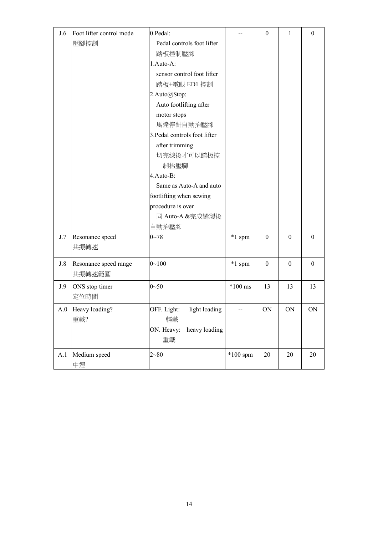| J.6 | Foot lifter control mode | 0.Pedal:                      |            | $\boldsymbol{0}$ | $\mathbf{1}$ | $\boldsymbol{0}$ |
|-----|--------------------------|-------------------------------|------------|------------------|--------------|------------------|
|     | 壓腳控制                     | Pedal controls foot lifter    |            |                  |              |                  |
|     |                          | 踏板控制壓腳                        |            |                  |              |                  |
|     |                          | 1.Auto-A:                     |            |                  |              |                  |
|     |                          | sensor control foot lifter    |            |                  |              |                  |
|     |                          | 踏板+電眼 ED1 控制                  |            |                  |              |                  |
|     |                          | 2.Auto@Stop:                  |            |                  |              |                  |
|     |                          | Auto footlifting after        |            |                  |              |                  |
|     |                          | motor stops                   |            |                  |              |                  |
|     |                          | 馬達停針自動抬壓腳                     |            |                  |              |                  |
|     |                          | 3. Pedal controls foot lifter |            |                  |              |                  |
|     |                          | after trimming                |            |                  |              |                  |
|     |                          | 切完線後才可以踏板控                    |            |                  |              |                  |
|     |                          | 制抬壓腳                          |            |                  |              |                  |
|     |                          | 4.Auto-B:                     |            |                  |              |                  |
|     |                          | Same as Auto-A and auto       |            |                  |              |                  |
|     |                          | footlifting when sewing       |            |                  |              |                  |
|     |                          | procedure is over             |            |                  |              |                  |
|     |                          | 同 Auto-A &完成縫製後               |            |                  |              |                  |
|     |                          | 自動抬壓腳                         |            |                  |              |                  |
| J.7 | Resonance speed          | $0 - 78$                      | *1 spm     | $\boldsymbol{0}$ | $\theta$     | $\theta$         |
|     | 共振轉速                     |                               |            |                  |              |                  |
|     |                          |                               |            |                  |              |                  |
| J.8 | Resonance speed range    | $0 - 100$                     | *1 spm     | $\boldsymbol{0}$ | $\theta$     | $\theta$         |
|     | 共振轉速範圍                   |                               |            |                  |              |                  |
| J.9 | ONS stop timer           | $0 - 50$                      | $*100$ ms  | 13               | 13           | 13               |
|     | 定位時間                     |                               |            |                  |              |                  |
|     | A.0 Heavy loading?       | OFF. Light:<br>light loading  | --         | ON               | ON           | ON               |
|     | 重載?                      | 輕載                            |            |                  |              |                  |
|     |                          | ON. Heavy: heavy loading      |            |                  |              |                  |
|     |                          | 重載                            |            |                  |              |                  |
| A.1 | Medium speed             | $2 - 80$                      | $*100$ spm | $20\,$           | $20\,$       | 20               |
|     | 中速                       |                               |            |                  |              |                  |
|     |                          |                               |            |                  |              |                  |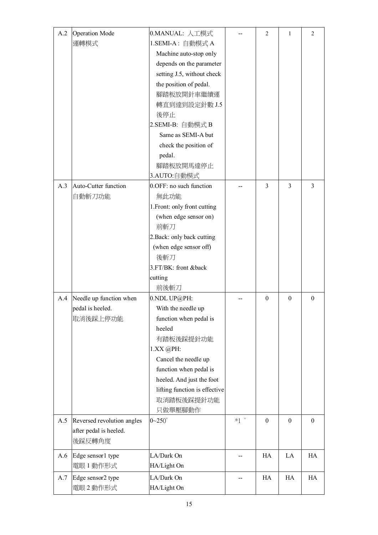| A.2 | <b>Operation Mode</b>      | 0.MANUAL: 人工模式                |                                    | 2              | 1              | $\overline{c}$   |
|-----|----------------------------|-------------------------------|------------------------------------|----------------|----------------|------------------|
|     | 運轉模式                       | 1.SEMI-A: 自動模式 A              |                                    |                |                |                  |
|     |                            | Machine auto-stop only        |                                    |                |                |                  |
|     |                            | depends on the parameter      |                                    |                |                |                  |
|     |                            | setting J.5, without check    |                                    |                |                |                  |
|     |                            | the position of pedal.        |                                    |                |                |                  |
|     |                            | 腳踏板放開針車繼續運                    |                                    |                |                |                  |
|     |                            | 轉直到達到設定針數 J.5                 |                                    |                |                |                  |
|     |                            | 後停止                           |                                    |                |                |                  |
|     |                            | 2.SEMI-B: 自動模式 B              |                                    |                |                |                  |
|     |                            | Same as SEMI-A but            |                                    |                |                |                  |
|     |                            | check the position of         |                                    |                |                |                  |
|     |                            | pedal.                        |                                    |                |                |                  |
|     |                            | 腳踏板放開馬達停止                     |                                    |                |                |                  |
|     |                            | 3.AUTO:自動模式                   |                                    |                |                |                  |
| A.3 | Auto-Cutter function       | 0.OFF: no such function       |                                    | $\overline{3}$ | $\overline{3}$ | 3                |
|     | 自動斬刀功能                     | 無此功能                          |                                    |                |                |                  |
|     |                            | 1. Front: only front cutting  |                                    |                |                |                  |
|     |                            | (when edge sensor on)         |                                    |                |                |                  |
|     |                            | 前斬刀                           |                                    |                |                |                  |
|     |                            | 2. Back: only back cutting    |                                    |                |                |                  |
|     |                            | (when edge sensor off)        |                                    |                |                |                  |
|     |                            | 後斬刀                           |                                    |                |                |                  |
|     |                            | 3.FT/BK: front &back          |                                    |                |                |                  |
|     |                            | cutting                       |                                    |                |                |                  |
|     |                            | 前後斬刀                          |                                    |                |                |                  |
| A.4 | Needle up function when    | 0.NDL UP@PH:                  |                                    | $\theta$       | $\mathbf{0}$   | $\boldsymbol{0}$ |
|     | pedal is heeled.           | With the needle up            |                                    |                |                |                  |
|     | 取消後踩上停功能                   | function when pedal is        |                                    |                |                |                  |
|     |                            | heeled                        |                                    |                |                |                  |
|     |                            | 有踏板後踩提針功能                     |                                    |                |                |                  |
|     |                            | 1.XX @PH:                     |                                    |                |                |                  |
|     |                            | Cancel the needle up          |                                    |                |                |                  |
|     |                            | function when pedal is        |                                    |                |                |                  |
|     |                            | heeled. And just the foot     |                                    |                |                |                  |
|     |                            | lifting function is effective |                                    |                |                |                  |
|     |                            | 取消踏板後踩提針功能                    |                                    |                |                |                  |
|     |                            | 只做舉壓腳動作                       |                                    |                |                |                  |
| A.5 | Reversed revolution angles | $0 - 250^\circ$               | $*1$ <sup><math>\circ</math></sup> | $\theta$       | $\mathbf{0}$   | $\boldsymbol{0}$ |
|     | after pedal is heeled.     |                               |                                    |                |                |                  |
|     | 後踩反轉角度                     |                               |                                    |                |                |                  |
| A.6 | Edge sensor1 type          | LA/Dark On                    | $-$                                | HA             | LA             | HA               |
|     | 電眼1動作形式                    | HA/Light On                   |                                    |                |                |                  |
| A.7 | Edge sensor2 type          | LA/Dark On                    |                                    | HA             | HA             | HA               |
|     | 電眼2動作形式                    | HA/Light On                   |                                    |                |                |                  |
|     |                            |                               |                                    |                |                |                  |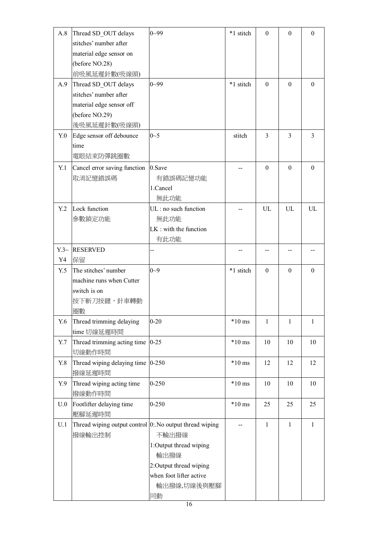| A.8          | Thread SD_OUT delays                                       | $0 - 99$                 | *1 stitch | $\theta$     | $\overline{0}$ | $\mathbf{0}$ |
|--------------|------------------------------------------------------------|--------------------------|-----------|--------------|----------------|--------------|
|              | stitches' number after                                     |                          |           |              |                |              |
|              | material edge sensor on                                    |                          |           |              |                |              |
|              | (before NO.28)                                             |                          |           |              |                |              |
|              | 前吸風延遲針數(吸線頭)                                               |                          |           |              |                |              |
| A.9          | Thread SD OUT delays                                       | $0 - 99$                 | *1 stitch | $\theta$     | $\Omega$       | $\theta$     |
|              | stitches' number after                                     |                          |           |              |                |              |
|              | material edge sensor off                                   |                          |           |              |                |              |
|              | (before NO.29)                                             |                          |           |              |                |              |
|              | 後吸風延遲針數(吸線頭)                                               |                          |           |              |                |              |
| $Y_{\cdot}0$ | Edge sensor off debounce                                   | $0 - 5$                  | stitch    | 3            | $\overline{3}$ | 3            |
|              | time                                                       |                          |           |              |                |              |
|              | 電眼結束防彈跳圈數                                                  |                          |           |              |                |              |
|              |                                                            | 0.Save                   |           | $\Omega$     | $\Omega$       | $\Omega$     |
| Y.1          | Cancel error saving function                               |                          |           |              |                |              |
|              | 取消記憶錯誤碼                                                    | 有錯誤碼記憶功能                 |           |              |                |              |
|              |                                                            | 1.Cancel                 |           |              |                |              |
|              |                                                            | 無此功能                     |           |              |                |              |
| Y.2          | Lock function                                              | UL: no such function     |           | UL           | UL             | UL           |
|              | 參數鎖定功能                                                     | 無此功能                     |           |              |                |              |
|              |                                                            | $LK$ : with the function |           |              |                |              |
|              |                                                            | 有此功能                     |           |              |                |              |
|              | Y.3~ RESERVED                                              |                          |           |              |                |              |
| Y4           | 保留                                                         |                          |           |              |                |              |
| Y.5          | The stitches' number                                       | $0 - 9$                  | *1 stitch | $\mathbf{0}$ | $\overline{0}$ | $\Omega$     |
|              |                                                            |                          |           |              |                |              |
|              | machine runs when Cutter                                   |                          |           |              |                |              |
|              | switch is on                                               |                          |           |              |                |              |
|              | 按下斬刀按鍵,針車轉動                                                |                          |           |              |                |              |
|              | 圈數                                                         |                          |           |              |                |              |
| Y.6          | Thread trimming delaying                                   | $0 - 20$                 | $*10$ ms  | 1            | 1              | $\mathbf{1}$ |
|              | time 切線延遲時間                                                |                          |           |              |                |              |
| Y.7          | Thread trimming acting time $ 0-25\rangle$                 |                          | $*10$ ms  | 10           | 10             | 10           |
|              | 切線動作時間                                                     |                          |           |              |                |              |
|              |                                                            | $0 - 250$                | $*10$ ms  | 12           | 12             | 12           |
| Y.8          | Thread wiping delaying time                                |                          |           |              |                |              |
|              | 撥線延遲時間                                                     |                          |           |              |                |              |
| Y.9          | Thread wiping acting time                                  | $0 - 250$                | $*10$ ms  | 10           | 10             | 10           |
|              | 撥線動作時間                                                     |                          |           |              |                |              |
| U.0          | Footlifter delaying time                                   | $0 - 250$                | $*10$ ms  | 25           | 25             | 25           |
|              | 壓腳延遲時間                                                     |                          |           |              |                |              |
| U.1          | Thread wiping output control $[0:$ No output thread wiping |                          |           | 1            | 1              | $\mathbf{1}$ |
|              | 撥線輸出控制                                                     | 不輸出撥線                    |           |              |                |              |
|              |                                                            | 1:Output thread wiping   |           |              |                |              |
|              |                                                            | 輸出撥線                     |           |              |                |              |
|              |                                                            | 2: Output thread wiping  |           |              |                |              |
|              |                                                            | when foot lifter active  |           |              |                |              |
|              |                                                            | 輸出撥線,切線後與壓腳<br>同動        |           |              |                |              |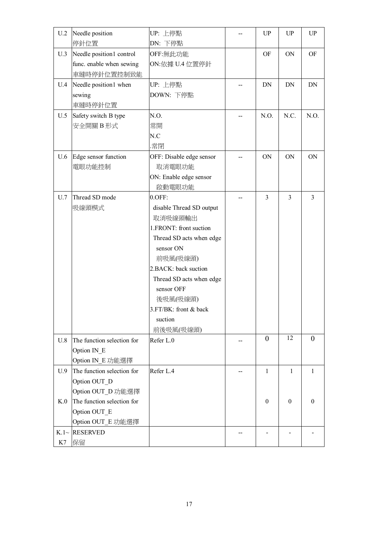| U.2    | Needle position            | UP: 上停點                  |    | UP             | UP              | UP               |
|--------|----------------------------|--------------------------|----|----------------|-----------------|------------------|
|        | 停針位置                       | DN: 下停點                  |    |                |                 |                  |
| U.3    | Needle position1 control   | OFF:無此功能                 |    | <b>OF</b>      | ON              | OF               |
|        | func. enable when sewing   | ON: 依據 U.4 位置停針          |    |                |                 |                  |
|        | 車縫時停針位置控制致能                |                          |    |                |                 |                  |
| U.4    | Needle position1 when      | UP: 上停點                  |    | <b>DN</b>      | DN              | DN               |
|        | sewing                     | DOWN: 下停點                |    |                |                 |                  |
|        | 車縫時停針位置                    |                          |    |                |                 |                  |
| U.5    | Safety switch B type       | N.O.                     |    | N.O.           | N.C.            | N.O.             |
|        | 安全開關B形式                    | 常開                       |    |                |                 |                  |
|        |                            | N.C                      |    |                |                 |                  |
|        |                            | .常閉                      |    |                |                 |                  |
| U.6    | Edge sensor function       | OFF: Disable edge sensor |    | ON             | <b>ON</b>       | ON               |
|        | 電眼功能控制                     | 取消電眼功能                   |    |                |                 |                  |
|        |                            | ON: Enable edge sensor   |    |                |                 |                  |
|        |                            | 啟動電眼功能                   |    |                |                 |                  |
| U.7    | Thread SD mode             | $0.$ OFF:                |    | $\overline{3}$ | $\overline{3}$  | 3                |
|        | 吸線頭模式                      | disable Thread SD output |    |                |                 |                  |
|        |                            | 取消吸線頭輸出                  |    |                |                 |                  |
|        |                            | 1.FRONT: front suction   |    |                |                 |                  |
|        |                            | Thread SD acts when edge |    |                |                 |                  |
|        |                            | sensor ON                |    |                |                 |                  |
|        |                            | 前吸風(吸線頭)                 |    |                |                 |                  |
|        |                            | 2. BACK: back suction    |    |                |                 |                  |
|        |                            | Thread SD acts when edge |    |                |                 |                  |
|        |                            | sensor OFF               |    |                |                 |                  |
|        |                            |                          |    |                |                 |                  |
|        |                            | 後吸風(吸線頭)                 |    |                |                 |                  |
|        |                            | $3.FT/BK$ : front & back |    |                |                 |                  |
|        |                            | suction                  |    |                |                 |                  |
|        |                            | 前後吸風(吸線頭)                |    | $\theta$       | $\overline{12}$ | $\theta$         |
| U.8    | The function selection for | Refer L.0                | -- |                |                 |                  |
|        | Option IN E                |                          |    |                |                 |                  |
|        | Option IN E 功能選擇           |                          |    |                |                 |                  |
| U.9    | The function selection for | Refer L.4                |    | 1              | 1               | $\mathbf{1}$     |
|        | Option OUT D               |                          |    |                |                 |                  |
|        | Option OUT_D 功能選擇          |                          |    |                |                 |                  |
| K.0    | The function selection for |                          |    | $\theta$       | $\theta$        | $\boldsymbol{0}$ |
|        | Option OUT E               |                          |    |                |                 |                  |
|        | Option OUT_E 功能選擇          |                          |    |                |                 |                  |
| $K.1-$ | <b>RESERVED</b>            |                          |    |                |                 |                  |
| K7     | 保留                         |                          |    |                |                 |                  |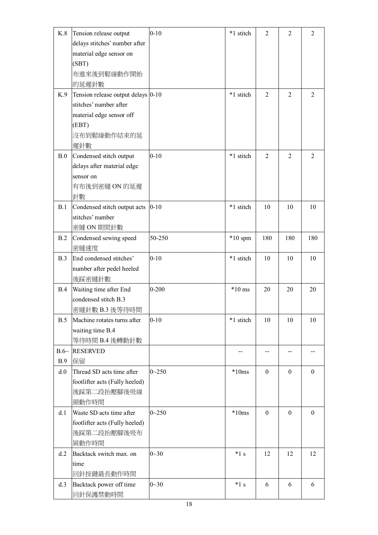| K.8       | Tension release output             | $0 - 10$  | *1 stitch | $\overline{2}$   | $\overline{2}$   | $\overline{2}$   |
|-----------|------------------------------------|-----------|-----------|------------------|------------------|------------------|
|           | delays stitches' number after      |           |           |                  |                  |                  |
|           | material edge sensor on            |           |           |                  |                  |                  |
|           | (SBT)                              |           |           |                  |                  |                  |
|           | 布進來後到鬆線動作開始                        |           |           |                  |                  |                  |
|           | 的延遲針數                              |           |           |                  |                  |                  |
| K.9       | Tension release output delays 0-10 |           | *1 stitch | $\overline{2}$   | $\overline{2}$   | $\overline{2}$   |
|           | stitches' number after             |           |           |                  |                  |                  |
|           | material edge sensor off           |           |           |                  |                  |                  |
|           | (EBT)                              |           |           |                  |                  |                  |
|           | 沒布到鬆線動作結束的延                        |           |           |                  |                  |                  |
|           | 遲針數                                |           |           |                  |                  |                  |
| B.0       | Condensed stitch output            | $0 - 10$  | *1 stitch | 2                | $\overline{2}$   | $\overline{2}$   |
|           | delays after material edge         |           |           |                  |                  |                  |
|           | sensor on                          |           |           |                  |                  |                  |
|           | 有布後到密縫 ON 的延遲                      |           |           |                  |                  |                  |
|           | 針數                                 |           |           |                  |                  |                  |
| B.1       | Condensed stitch output acts       | $0 - 10$  | *1 stitch | 10               | 10               | 10               |
|           | stitches' number                   |           |           |                  |                  |                  |
|           | 密縫 ON 期間針數                         |           |           |                  |                  |                  |
| B.2       | Condensed sewing speed             | 50-250    | $*10$ spm | 180              | 180              | 180              |
|           | 密縫速度                               |           |           |                  |                  |                  |
| B.3       | End condensed stitches'            | $0 - 10$  | *1 stitch | 10               | 10               | 10               |
|           | number after pedel heeled          |           |           |                  |                  |                  |
|           | 後踩密縫針數                             |           |           |                  |                  |                  |
| B.4       | Waiting time after End             | $0 - 200$ | $*10$ ms  | 20               | 20               | 20               |
|           | condensed stitch B.3               |           |           |                  |                  |                  |
|           | 密縫針數 B.3 後等待時間                     |           |           |                  |                  |                  |
| B.5       | Machine rotates turns after        | $0 - 10$  | *1 stitch | 10               | 10               | 10               |
|           | waiting time B.4                   |           |           |                  |                  |                  |
|           | 等待時間 B.4 後轉動針數                     |           |           |                  |                  |                  |
| $B.6\sim$ | <b>RESERVED</b>                    |           | $-$       |                  |                  |                  |
| B.9       | 保留                                 |           |           |                  |                  |                  |
| d.0       | Thread SD acts time after          | $0 - 250$ | $*10ms$   | $\theta$         | $\mathbf{0}$     | $\theta$         |
|           | footlifter acts (Fully heeled)     |           |           |                  |                  |                  |
|           | 後踩第二段抬壓腳後吸線                        |           |           |                  |                  |                  |
|           | 頭動作時間                              |           |           |                  |                  |                  |
| d.1       | Waste SD acts time after           | $0 - 250$ | $*10ms$   | $\boldsymbol{0}$ | $\boldsymbol{0}$ | $\boldsymbol{0}$ |
|           | footlifter acts (Fully heeled)     |           |           |                  |                  |                  |
|           | 後踩第二段抬壓腳後吸布                        |           |           |                  |                  |                  |
|           | 屑動作時間                              |           |           |                  |                  |                  |
| d.2       | Backtack switch max. on            | $0 - 30$  | $*1s$     | 12               | 12               | 12               |
|           | time                               |           |           |                  |                  |                  |
|           | 回針按鍵最長動作時間                         |           |           |                  |                  |                  |
| d.3       | Backtack power off time            | $0 - 30$  | $*1s$     | 6                | 6                | 6                |
|           | 回針保護禁動時間                           |           |           |                  |                  |                  |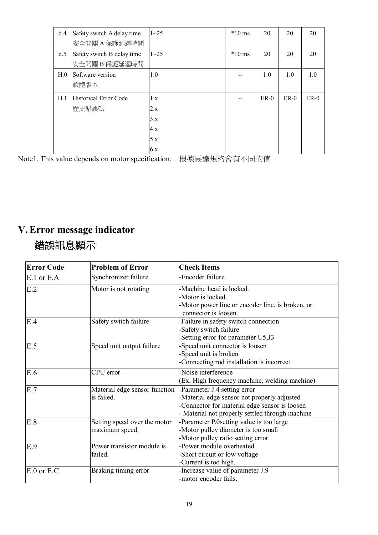| d.4             | Safety switch A delay time<br>安全開關A保護延遲時間   | $1 - 25$                               | $*10$ ms | 20     | 20     | 20     |
|-----------------|---------------------------------------------|----------------------------------------|----------|--------|--------|--------|
| d.5             | Safety switch B delay time<br>安全開關 B 保護延遲時間 | $1 - 25$                               | $*10$ ms | 20     | 20     | 20     |
| H <sub>.0</sub> | Software version<br>軟體版本                    | 1.0                                    |          | 1.0    | 1.0    | 1.0    |
| H.1             | <b>Historical Error Code</b><br>歷史錯誤碼       | 1.x<br>2.x<br>3.x<br>4.x<br>5.x<br>6.x |          | $ER-0$ | $ER-0$ | $ER-0$ |

Note1. This value depends on motor specification. 根據馬達規格會有不同的值

# **V.Error message indicator**

# **錯誤訊息顯示**

| <b>Error Code</b> | <b>Problem of Error</b>       | <b>Check Items</b>                               |
|-------------------|-------------------------------|--------------------------------------------------|
| $E.1$ or $E.A$    | Synchronizer failure          | -Encoder failure.                                |
| E.2               | Motor is not rotating         | -Machine head is locked.                         |
|                   |                               | -Motor is locked.                                |
|                   |                               | -Motor power line or encoder line. is broken, or |
|                   |                               | connector is loosen.                             |
| E.4               | Safety switch failure         | -Failure in safety switch connection             |
|                   |                               | -Safety switch failure                           |
|                   |                               | -Setting error for parameter U5,J3               |
| E.5               | Speed unit output failure     | -Speed unit connector is loosen                  |
|                   |                               | -Speed unit is broken                            |
|                   |                               | -Connecting rod installation is incorrect        |
| E.6               | CPU error                     | -Noise interference                              |
|                   |                               | (Ex. High frequency machine, welding machine)    |
| E.7               | Material edge sensor function | -Parameter J.4 setting error                     |
|                   | is failed.                    | -Material edge sensor not properly adjusted      |
|                   |                               | -Connector for material edge sensor is loosen    |
|                   |                               | - Material not properly settled through machine  |
| E.8               | Setting speed over the motor  | -Parameter P.0setting value is too large         |
|                   | maximum speed.                | -Motor pulley diameter is too small              |
|                   |                               | -Motor pulley ratio setting error                |
| E.9               | Power transistor module is    | -Power module overheated                         |
|                   | failed.                       | -Short circuit or low voltage                    |
|                   |                               | -Current is too high.                            |
| $E.0$ or $E.C$    | Braking timing error          | -Increase value of parameter J.9                 |
|                   |                               | -motor encoder fails.                            |